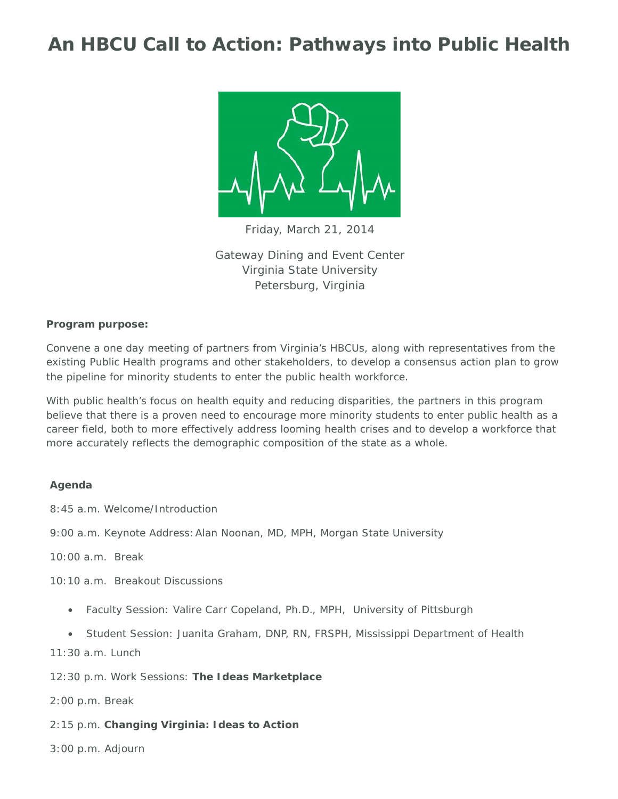# **An HBCU Call to Action: Pathways into Public Health**



Friday, March 21, 2014

Gateway Dining and Event Center Virginia State University Petersburg, Virginia

#### *Program purpose:*

Convene a one day meeting of partners from Virginia's HBCUs, along with representatives from the existing Public Health programs and other stakeholders, to develop a consensus action plan to grow the pipeline for minority students to enter the public health workforce.

With public health's focus on health equity and reducing disparities, the partners in this program believe that there is a proven need to encourage more minority students to enter public health as a career field, both to more effectively address looming health crises and to develop a workforce that more accurately reflects the demographic composition of the state as a whole.

#### **Agenda**

8:45 a.m. Welcome/Introduction

9:00 a.m. Keynote Address: Alan Noonan, MD, MPH, Morgan State University

10:00 a.m. Break

10:10 a.m. Breakout Discussions

- Faculty Session: Valire Carr Copeland, Ph.D., MPH, University of Pittsburgh
- Student Session: Juanita Graham, DNP, RN, FRSPH, Mississippi Department of Health

11:30 a.m. Lunch

12:30 p.m. Work Sessions: **The Ideas Marketplace**

2:00 p.m. Break

- 2:15 p.m. **Changing Virginia: Ideas to Action**
- 3:00 p.m. Adjourn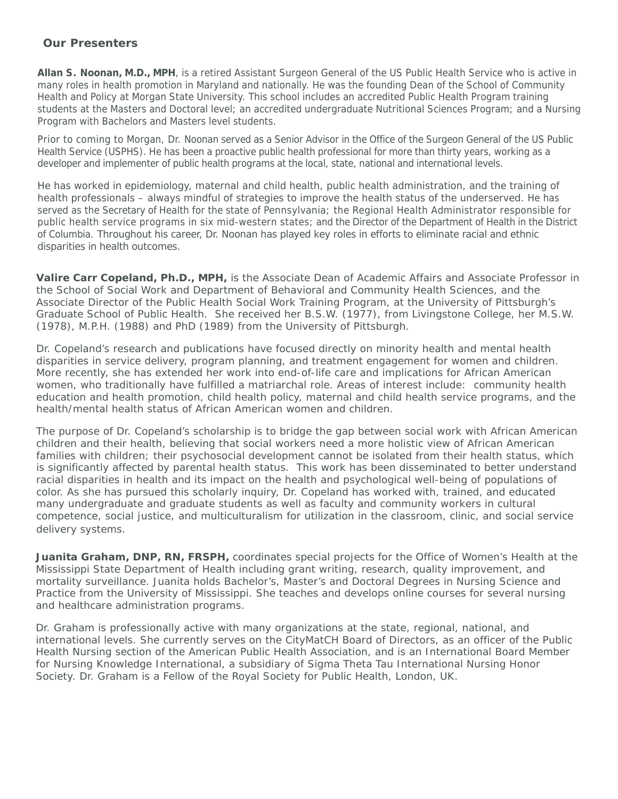### **Our Presenters**

**Allan S. Noonan, M.D., MPH**, is a retired Assistant Surgeon General of the US Public Health Service who is active in many roles in health promotion in Maryland and nationally. He was the founding Dean of the School of Community Health and Policy at Morgan State University. This school includes an accredited Public Health Program training students at the Masters and Doctoral level; an accredited undergraduate Nutritional Sciences Program; and a Nursing Program with Bachelors and Masters level students.

Prior to coming to Morgan, Dr. Noonan served as a Senior Advisor in the Office of the Surgeon General of the US Public Health Service (USPHS). He has been a proactive public health professional for more than thirty years, working as a developer and implementer of public health programs at the local, state, national and international levels.

He has worked in epidemiology, maternal and child health, public health administration, and the training of health professionals – always mindful of strategies to improve the health status of the underserved. He has served as the Secretary of Health for the state of Pennsylvania; the Regional Health Administrator responsible for public health service programs in six mid-western states; and the Director of the Department of Health in the District of Columbia. Throughout his career, Dr. Noonan has played key roles in efforts to eliminate racial and ethnic disparities in health outcomes.

**Valire Carr Copeland, Ph.D., MPH,** is the Associate Dean of Academic Affairs and Associate Professor in the School of Social Work and Department of Behavioral and Community Health Sciences, and the Associate Director of the Public Health Social Work Training Program, at the University of Pittsburgh's Graduate School of Public Health. She received her B.S.W. (1977), from Livingstone College, her M.S.W. (1978), M.P.H. (1988) and PhD (1989) from the University of Pittsburgh.

Dr. Copeland's research and publications have focused directly on minority health and mental health disparities in service delivery, program planning, and treatment engagement for women and children. More recently, she has extended her work into end-of-life care and implications for African American women, who traditionally have fulfilled a matriarchal role. Areas of interest include: community health education and health promotion, child health policy, maternal and child health service programs, and the health/mental health status of African American women and children.

The purpose of Dr. Copeland's scholarship is to bridge the gap between social work with African American children and their health, believing that social workers need a more holistic view of African American families with children; their psychosocial development cannot be isolated from their health status, which is significantly affected by parental health status. This work has been disseminated to better understand racial disparities in health and its impact on the health and psychological well-being of populations of color. As she has pursued this scholarly inquiry, Dr. Copeland has worked with, trained, and educated many undergraduate and graduate students as well as faculty and community workers in cultural competence, social justice, and multiculturalism for utilization in the classroom, clinic, and social service delivery systems.

**Juanita Graham, DNP, RN, FRSPH,** coordinates special projects for the Office of Women's Health at the Mississippi State Department of Health including grant writing, research, quality improvement, and mortality surveillance. Juanita holds Bachelor's, Master's and Doctoral Degrees in Nursing Science and Practice from the University of Mississippi. She teaches and develops online courses for several nursing and healthcare administration programs.

Dr. Graham is professionally active with many organizations at the state, regional, national, and international levels. She currently serves on the CityMatCH Board of Directors, as an officer of the Public Health Nursing section of the American Public Health Association, and is an International Board Member for Nursing Knowledge International, a subsidiary of Sigma Theta Tau International Nursing Honor Society. Dr. Graham is a Fellow of the Royal Society for Public Health, London, UK.